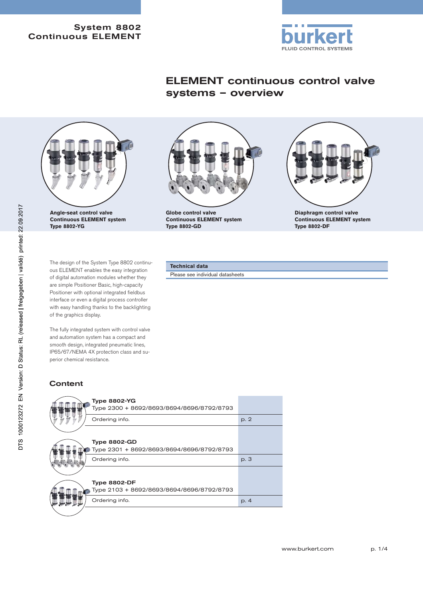#### System 8802 Continuous ELEMENT



# ELEMENT continuous control valve systems – overview



**Angle-seat control valve Continuous ELEMENT system Type 8802-YG**

The design of the System Type 8802 continuous ELEMENT enables the easy integration of digital automation modules whether they are simple Positioner Basic, high-capacity Positioner with optional integrated fieldbus interface or even a digital process controller with easy handling thanks to the backlighting of the graphics display.

The fully integrated system with control valve and automation system has a compact and smooth design, integrated pneumatic lines, IP65/67/NEMA 4X protection class and superior chemical resistance.

## **Content**





**Diaphragm control valve Continuous ELEMENT system Type 8802-DF**

#### **Technical data**

**Globe control valve**

**Type 8802-GD**

Please see individual datasheets

**Continuous ELEMENT system**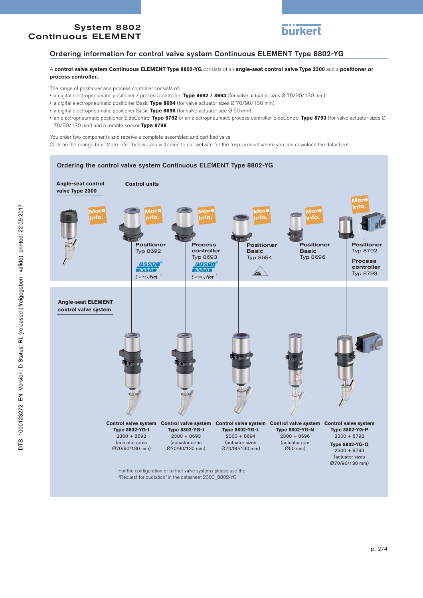### System 8802 Continuous ELEMENT



### Ordering information for control valve system Continuous ELEMENT Type 8802-YG

#### A **control valve system Continuous ELEMENT Type 8802-YG** consists of an **angle-seat control valve Type 2300** and a **positioner or process controller.**

The range of positioner and process controller consists of:

- a digital electropneumatic positioner / process controller **Type 8692 / 8693** (for valve actuator sizes Ø 70/90/130 mm)
- a digital electropneumatic positioner Basic **Type 8694** (for valve actuator sizes Ø 70/90/130 mm)
- a digital electropneumatic positioner Basic **Type 8696** (for valve actuator size Ø 50 mm)
- an electropneumatic positioner SideControl **Type 8792** or an electropneumatic process controller SideControl **Type 8793** (for valve actuator sizes Ø 70/90/130 mm) and a remote sensor **Type 8798**

You order two components and receive a complete assembled and certified valve. Click on the orange box "More info." below... you will come to our website for the resp. product where you can download the datasheet.

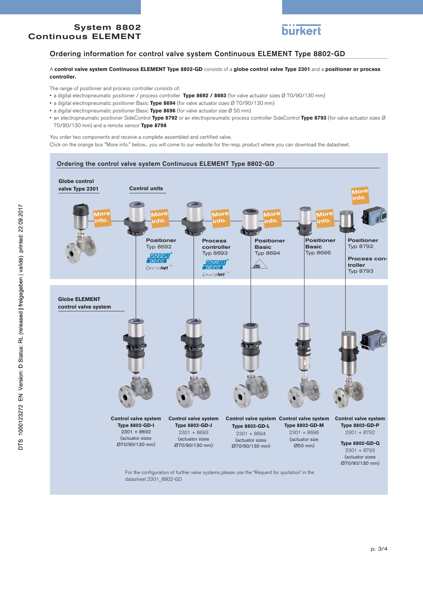### System 8802 Continuous ELEMENT



### Ordering information for control valve system Continuous ELEMENT Type 8802-GD

#### A **control valve system Continuous ELEMENT Type 8802-GD** consists of a **globe control valve Type 2301** and a **positioner or process controller.**

The range of positioner and process controller consists of:

- a digital electropneumatic positioner / process controller **Type 8692 / 8693** (for valve actuator sizes Ø 70/90/130 mm)
- a digital electropneumatic positioner Basic **Type 8694** (for valve actuator sizes Ø 70/90/130 mm)
- a digital electropneumatic positioner Basic **Type 8696** (for valve actuator size Ø 50 mm)
- an electropneumatic positioner SideControl **Type 8792** or an electropneumatic process controller SideControl **Type 8793** (for valve actuator sizes Ø 70/90/130 mm) and a remote sensor **Type 8798**

You order two components and receive a complete assembled and certified valve.

Click on the orange box "More info." below... you will come to our website for the resp. product where you can download the datasheet.



For the configuration of further valve systems please use the "Request for quotation" in the datasheet 2301 8802-GD